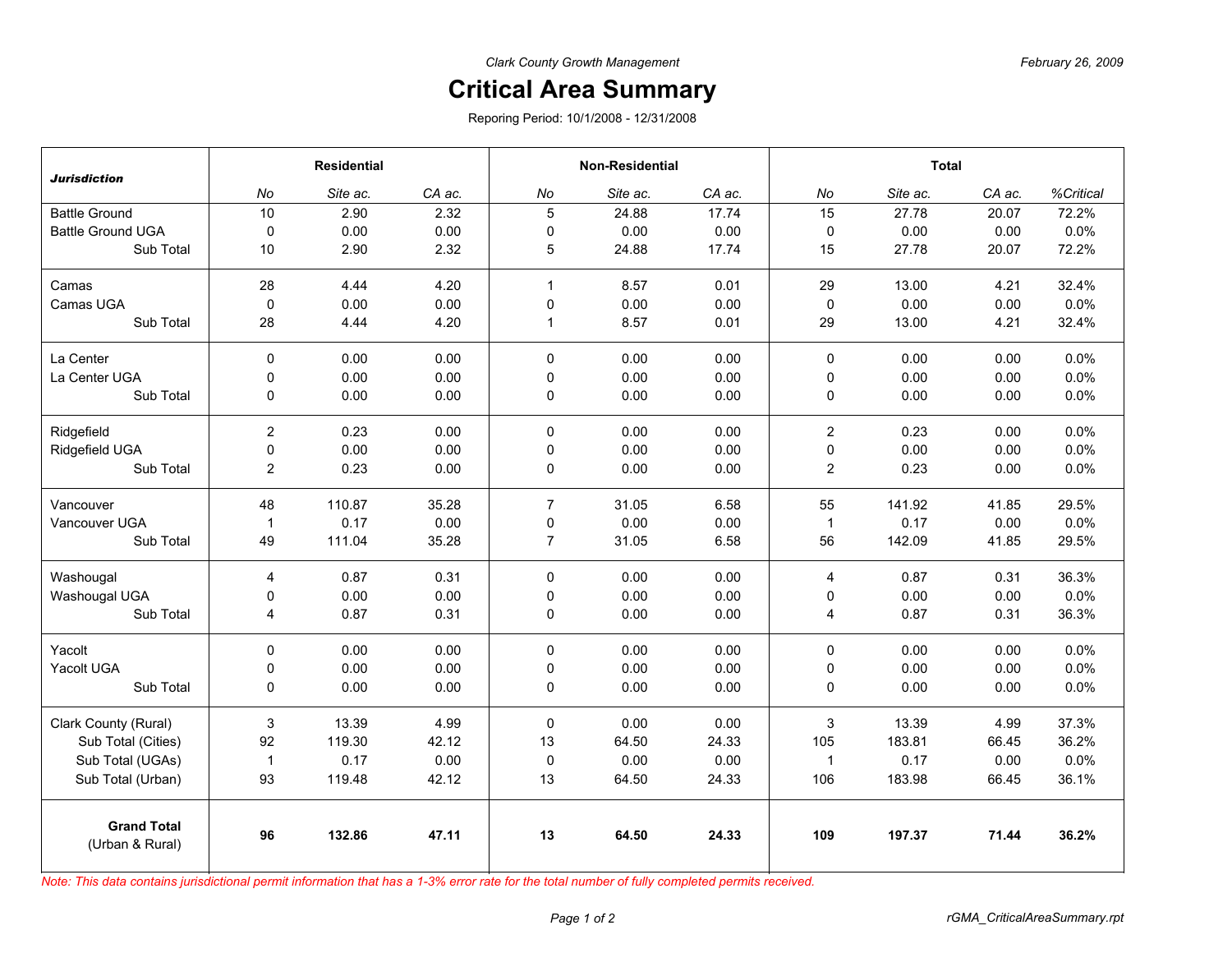## **Critical Area Summary**

Reporing Period: 10/1/2008 - 12/31/2008

|                                       | <b>Residential</b> |          |        | <b>Non-Residential</b> |          |        | <b>Total</b>     |          |        |           |
|---------------------------------------|--------------------|----------|--------|------------------------|----------|--------|------------------|----------|--------|-----------|
| <b>Jurisdiction</b>                   | No                 | Site ac. | CA ac. | No                     | Site ac. | CA ac. | No               | Site ac. | CA ac. | %Critical |
| <b>Battle Ground</b>                  | 10                 | 2.90     | 2.32   | 5                      | 24.88    | 17.74  | 15               | 27.78    | 20.07  | 72.2%     |
| <b>Battle Ground UGA</b>              | $\mathsf 0$        | 0.00     | 0.00   | $\mathbf 0$            | 0.00     | 0.00   | $\pmb{0}$        | 0.00     | 0.00   | 0.0%      |
| Sub Total                             | 10                 | 2.90     | 2.32   | $\sqrt{5}$             | 24.88    | 17.74  | 15               | 27.78    | 20.07  | 72.2%     |
| Camas                                 | 28                 | 4.44     | 4.20   | $\mathbf{1}$           | 8.57     | 0.01   | 29               | 13.00    | 4.21   | 32.4%     |
| Camas UGA                             | $\mathbf 0$        | 0.00     | 0.00   | $\mathsf 0$            | 0.00     | 0.00   | 0                | 0.00     | 0.00   | 0.0%      |
| Sub Total                             | 28                 | 4.44     | 4.20   | $\mathbf{1}$           | 8.57     | 0.01   | 29               | 13.00    | 4.21   | 32.4%     |
| La Center                             | 0                  | 0.00     | 0.00   | $\mathbf 0$            | 0.00     | 0.00   | $\pmb{0}$        | 0.00     | 0.00   | 0.0%      |
| La Center UGA                         | 0                  | 0.00     | 0.00   | $\pmb{0}$              | 0.00     | 0.00   | $\pmb{0}$        | 0.00     | 0.00   | 0.0%      |
| Sub Total                             | 0                  | 0.00     | 0.00   | 0                      | 0.00     | 0.00   | 0                | 0.00     | 0.00   | 0.0%      |
| Ridgefield                            | $\overline{c}$     | 0.23     | 0.00   | $\mathbf 0$            | 0.00     | 0.00   | $\boldsymbol{2}$ | 0.23     | 0.00   | 0.0%      |
| Ridgefield UGA                        | 0                  | 0.00     | 0.00   | 0                      | 0.00     | 0.00   | 0                | 0.00     | 0.00   | 0.0%      |
| Sub Total                             | $\overline{c}$     | 0.23     | 0.00   | 0                      | 0.00     | 0.00   | $\overline{c}$   | 0.23     | 0.00   | 0.0%      |
| Vancouver                             | 48                 | 110.87   | 35.28  | $\overline{7}$         | 31.05    | 6.58   | 55               | 141.92   | 41.85  | 29.5%     |
| Vancouver UGA                         | $\mathbf{1}$       | 0.17     | 0.00   | $\pmb{0}$              | 0.00     | 0.00   | $\mathbf{1}$     | 0.17     | 0.00   | 0.0%      |
| Sub Total                             | 49                 | 111.04   | 35.28  | $\overline{7}$         | 31.05    | 6.58   | 56               | 142.09   | 41.85  | 29.5%     |
| Washougal                             | 4                  | 0.87     | 0.31   | $\Omega$               | 0.00     | 0.00   | $\overline{4}$   | 0.87     | 0.31   | 36.3%     |
| Washougal UGA                         | 0                  | 0.00     | 0.00   | 0                      | 0.00     | 0.00   | 0                | 0.00     | 0.00   | 0.0%      |
| Sub Total                             | 4                  | 0.87     | 0.31   | 0                      | 0.00     | 0.00   | $\overline{4}$   | 0.87     | 0.31   | 36.3%     |
| Yacolt                                | $\Omega$           | 0.00     | 0.00   | 0                      | 0.00     | 0.00   | $\mathbf 0$      | 0.00     | 0.00   | 0.0%      |
| Yacolt UGA                            | 0                  | 0.00     | 0.00   | 0                      | 0.00     | 0.00   | 0                | 0.00     | 0.00   | 0.0%      |
| Sub Total                             | 0                  | 0.00     | 0.00   | 0                      | 0.00     | 0.00   | $\pmb{0}$        | 0.00     | 0.00   | 0.0%      |
| Clark County (Rural)                  | 3                  | 13.39    | 4.99   | 0                      | 0.00     | 0.00   | 3                | 13.39    | 4.99   | 37.3%     |
| Sub Total (Cities)                    | 92                 | 119.30   | 42.12  | 13                     | 64.50    | 24.33  | 105              | 183.81   | 66.45  | 36.2%     |
| Sub Total (UGAs)                      | $\mathbf{1}$       | 0.17     | 0.00   | $\pmb{0}$              | 0.00     | 0.00   | $\mathbf 1$      | 0.17     | 0.00   | 0.0%      |
| Sub Total (Urban)                     | 93                 | 119.48   | 42.12  | 13                     | 64.50    | 24.33  | 106              | 183.98   | 66.45  | 36.1%     |
| <b>Grand Total</b><br>(Urban & Rural) | 96                 | 132.86   | 47.11  | 13                     | 64.50    | 24.33  | 109              | 197.37   | 71.44  | 36.2%     |

*Note: This data contains jurisdictional permit information that has a 1-3% error rate for the total number of fully completed permits received.*